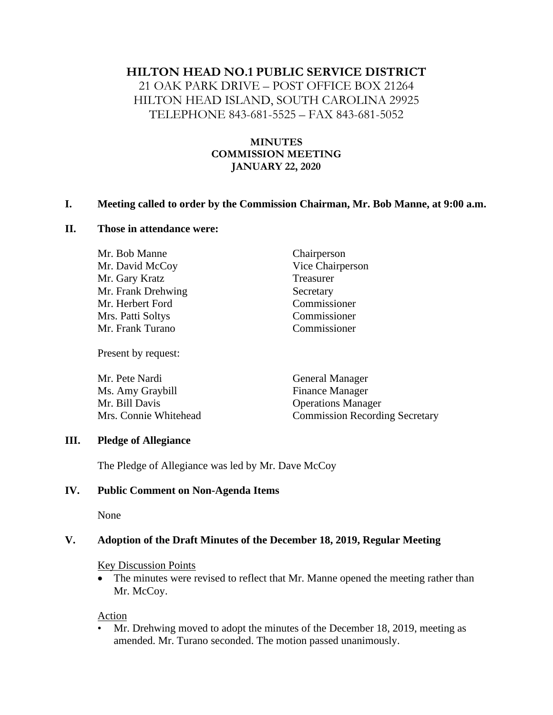### **HILTON HEAD NO.1 PUBLIC SERVICE DISTRICT**

21 OAK PARK DRIVE – POST OFFICE BOX 21264 HILTON HEAD ISLAND, SOUTH CAROLINA 29925 TELEPHONE 843-681-5525 – FAX 843-681-5052

# **MINUTES COMMISSION MEETING JANUARY 22, 2020**

#### **I. Meeting called to order by the Commission Chairman, Mr. Bob Manne, at 9:00 a.m.**

#### **II. Those in attendance were:**

Mr. Bob Manne Chairperson Mr. David McCoy Vice Chairperson Mr. Gary Kratz Treasurer Mr. Frank Drehwing Secretary Mr. Herbert Ford Commissioner Mrs. Patti Soltys Commissioner Mr. Frank Turano Commissioner

Present by request:

| <b>General Manager</b>                |
|---------------------------------------|
| <b>Finance Manager</b>                |
| <b>Operations Manager</b>             |
| <b>Commission Recording Secretary</b> |
|                                       |

#### **III. Pledge of Allegiance**

The Pledge of Allegiance was led by Mr. Dave McCoy

#### **IV. Public Comment on Non-Agenda Items**

None

#### **V. Adoption of the Draft Minutes of the December 18, 2019, Regular Meeting**

#### Key Discussion Points

• The minutes were revised to reflect that Mr. Manne opened the meeting rather than Mr. McCoy.

Action

• Mr. Drehwing moved to adopt the minutes of the December 18, 2019, meeting as amended. Mr. Turano seconded. The motion passed unanimously.